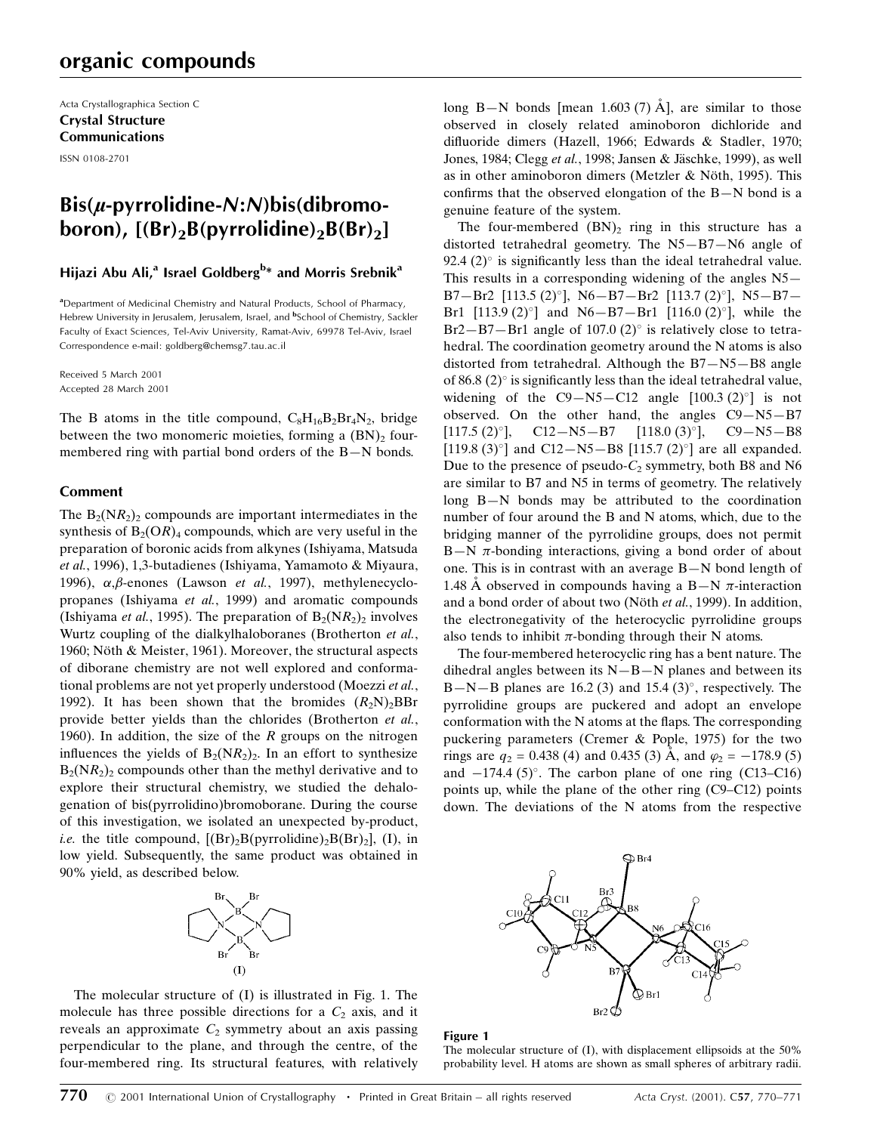# organic compounds

Acta Crystallographica Section C Crystal Structure Communications ISSN 0108-2701

# $\operatorname{Bis}(u$ -pyrrolidine-N:N)bis(dibromoboron),  $[(Br)_2B(pyrrolidine)_2B(Br)_2]$

# Hijazi Abu Ali,<sup>a</sup> Israel Goldberg<sup>b</sup>\* and Morris Srebnik<sup>a</sup>

<sup>a</sup> Department of Medicinal Chemistry and Natural Products, School of Pharmacy, Hebrew University in Jerusalem, Jerusalem, Israel, and <sup>b</sup>School of Chemistry, Sackler Faculty of Exact Sciences, Tel-Aviv University, Ramat-Aviv, 69978 Tel-Aviv, Israel Correspondence e-mail: goldberg@chemsg7.tau.ac.il

Received 5 March 2001 Accepted 28 March 2001

The B atoms in the title compound,  $C_8H_{16}B_2Br_4N_2$ , bridge between the two monomeric moieties, forming a  $(BN)_2$  fourmembered ring with partial bond orders of the  $B-N$  bonds.

## Comment

The  $B_2(NR_2)_2$  compounds are important intermediates in the synthesis of  $B_2(OR)_4$  compounds, which are very useful in the preparation of boronic acids from alkynes (Ishiyama, Matsuda et al., 1996), 1,3-butadienes (Ishiyama, Yamamoto & Miyaura, 1996),  $\alpha$ , $\beta$ -enones (Lawson et al., 1997), methylenecyclopropanes (Ishiyama et al., 1999) and aromatic compounds (Ishiyama *et al.*, 1995). The preparation of  $B_2(NR_2)$  involves Wurtz coupling of the dialkylhaloboranes (Brotherton et al., 1960; Nöth & Meister, 1961). Moreover, the structural aspects of diborane chemistry are not well explored and conformational problems are not yet properly understood (Moezzi et al., 1992). It has been shown that the bromides  $(R_2N)_2BBr$ provide better yields than the chlorides (Brotherton et al., 1960). In addition, the size of the  $R$  groups on the nitrogen influences the yields of  $B_2(NR_2)_2$ . In an effort to synthesize  $B_2(NR_2)_2$  compounds other than the methyl derivative and to explore their structural chemistry, we studied the dehalogenation of bis(pyrrolidino)bromoborane. During the course of this investigation, we isolated an unexpected by-product, *i.e.* the title compound,  $[(Br)_{2}B(pyrrolidine)_{2}B(Br)_{2}]$ , (I), in low yield. Subsequently, the same product was obtained in 90% yield, as described below.



The molecular structure of (I) is illustrated in Fig. 1. The molecule has three possible directions for a  $C_2$  axis, and it reveals an approximate  $C_2$  symmetry about an axis passing perpendicular to the plane, and through the centre, of the four-membered ring. Its structural features, with relatively long B $-N$  bonds [mean 1.603 (7) Å], are similar to those observed in closely related aminoboron dichloride and difluoride dimers (Hazell, 1966; Edwards & Stadler, 1970; Jones, 1984; Clegg et al., 1998; Jansen & Jäschke, 1999), as well as in other aminoboron dimers (Metzler & Nöth, 1995). This confirms that the observed elongation of the  $B-N$  bond is a genuine feature of the system.

The four-membered  $(BN)_2$  ring in this structure has a distorted tetrahedral geometry. The  $N5-B7-N6$  angle of 92.4 (2) $\degree$  is significantly less than the ideal tetrahedral value. This results in a corresponding widening of the angles N5 $-$ B7-Br2 [113.5 (2) $^{\circ}$ ], N6-B7-Br2 [113.7 (2) $^{\circ}$ ], N5-B7-Br1 [113.9 (2)<sup>o</sup>] and N6–B7–Br1 [116.0 (2)<sup>o</sup>], while the  $Br2-B7-Br1$  angle of 107.0 (2)° is relatively close to tetrahedral. The coordination geometry around the N atoms is also distorted from tetrahedral. Although the  $B7-N5-B8$  angle of 86.8  $(2)$ <sup>o</sup> is significantly less than the ideal tetrahedral value, widening of the  $C9-N5-C12$  angle  $[100.3 (2)°]$  is not observed. On the other hand, the angles  $C9 - N5 - B7$  $[117.5 (2)^\circ]$ , C12 $-N5-B7$   $[118.0 (3)^\circ]$ , C9 $-N5-B8$ [119.8 (3) $^{\circ}$ ] and C12–N5–B8 [115.7 (2) $^{\circ}$ ] are all expanded. Due to the presence of pseudo- $C_2$  symmetry, both B8 and N6 are similar to B7 and N5 in terms of geometry. The relatively long  $B-N$  bonds may be attributed to the coordination number of four around the B and N atoms, which, due to the bridging manner of the pyrrolidine groups, does not permit  $B-N$   $\pi$ -bonding interactions, giving a bond order of about one. This is in contrast with an average  $B-N$  bond length of 1.48 Å observed in compounds having a B $-N$   $\pi$ -interaction and a bond order of about two (Nöth et al., 1999). In addition, the electronegativity of the heterocyclic pyrrolidine groups also tends to inhibit  $\pi$ -bonding through their N atoms.

The four-membered heterocyclic ring has a bent nature. The dihedral angles between its  $N-B-N$  planes and between its B $-N-B$  planes are 16.2 (3) and 15.4 (3)°, respectively. The pyrrolidine groups are puckered and adopt an envelope conformation with the N atoms at the flaps. The corresponding puckering parameters (Cremer & Pople, 1975) for the two rings are  $q_2 = 0.438$  (4) and 0.435 (3) Å, and  $\varphi_2 = -178.9$  (5) and  $-174.4$  (5)<sup>o</sup>. The carbon plane of one ring (C13–C16) points up, while the plane of the other ring  $(C9-C12)$  points down. The deviations of the N atoms from the respective



#### Figure 1

The molecular structure of (I), with displacement ellipsoids at the 50% probability level. H atoms are shown as small spheres of arbitrary radii.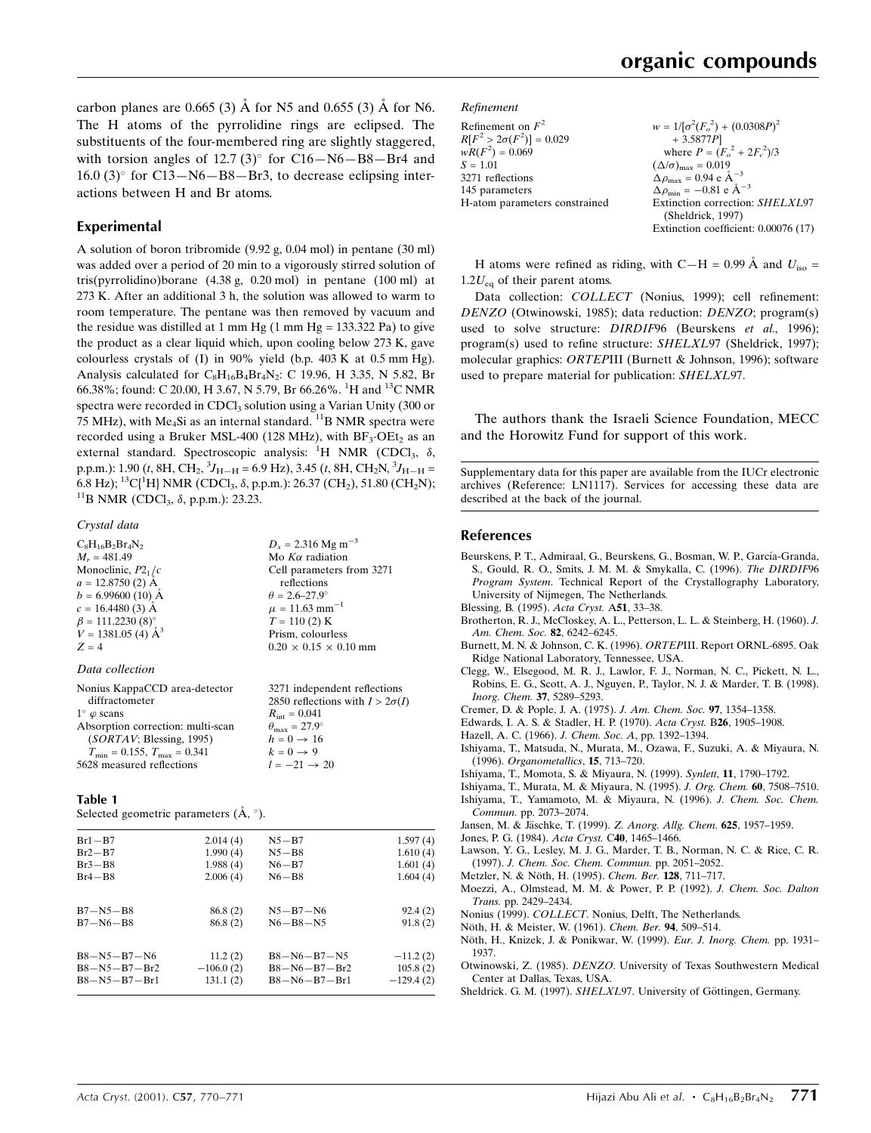carbon planes are 0.665 (3)  $\AA$  for N5 and 0.655 (3)  $\AA$  for N6. The H atoms of the pyrrolidine rings are eclipsed. The substituents of the four-membered ring are slightly staggered, with torsion angles of 12.7 (3) $^{\circ}$  for C16–N6–B8–Br4 and  $16.0$  (3) $\degree$  for C13–N6–B8–Br3, to decrease eclipsing interactions between H and Br atoms.

### Experimental

A solution of boron tribromide (9.92 g, 0.04 mol) in pentane (30 ml) was added over a period of 20 min to a vigorously stirred solution of tris(pyrrolidino)borane (4.38 g, 0.20 mol) in pentane (100 ml) at 273 K. After an additional 3 h, the solution was allowed to warm to room temperature. The pentane was then removed by vacuum and the residue was distilled at 1 mm Hg  $(1 \text{ mm Hg} = 133.322 \text{ Pa})$  to give the product as a clear liquid which, upon cooling below 273 K, gave colourless crystals of (I) in 90% yield (b.p.  $403 \text{ K}$  at 0.5 mm Hg). Analysis calculated for  $C_8H_{16}B_4Br_4N_2$ : C 19.96, H 3.35, N 5.82, Br 66.38%; found: C 20.00, H 3.67, N 5.79, Br 66.26%. <sup>1</sup>H and <sup>13</sup>C NMR spectra were recorded in CDCl<sub>3</sub> solution using a Varian Unity (300 or 75 MHz), with Me<sub>4</sub>Si as an internal standard. <sup>11</sup>B NMR spectra were recorded using a Bruker MSL-400 (128 MHz), with  $BF_3$ ·OEt<sub>2</sub> as an external standard. Spectroscopic analysis:  ${}^{1}H$  NMR (CDCl<sub>3</sub>,  $\delta$ , p.p.m.): 1.90 (*t*, 8H, CH<sub>2</sub>, <sup>3</sup>J<sub>H–H</sub> = 6.9 Hz), 3.45 (*t*, 8H, CH<sub>2</sub>N, <sup>3</sup>J<sub>H–H</sub> = 6.8 Hz); <sup>13</sup>C{<sup>1</sup>H} NMR (CDCl<sub>3</sub>,  $\delta$ , p.p.m.): 26.37 (CH<sub>2</sub>), 51.80 (CH<sub>2</sub>N); <sup>11</sup>B NMR (CDCl<sub>3</sub>,  $\delta$ , p.p.m.): 23.23.

#### Crystal data

| $C_8H_{16}B_2Br_4N_2$     | $D_r = 2.316$ Mg m <sup>-3</sup>  |
|---------------------------|-----------------------------------|
| $M_r = 481.49$            | Mo $K\alpha$ radiation            |
| Monoclinic, $P2_1/c$      | Cell parameters from 3271         |
| $a = 12.8750(2)$ Å        | reflections                       |
| $b = 6.99600(10)$ Å       | $\theta = 2.6 - 27.9^{\circ}$     |
| $c = 16.4480(3)$ Å        | $\mu = 11.63$ mm <sup>-1</sup>    |
| $\beta = 111.2230(8)$ °   | $T = 110(2)$ K                    |
| $V = 1381.05$ (4) $\AA^3$ | Prism, colourless                 |
| $Z = 4$                   | $0.20 \times 0.15 \times 0.10$ mm |
| Data collection           |                                   |

| Nonius KappaCCD area-detector<br>diffractometer<br>$1^{\circ}$ $\varphi$ scans<br>Absorption correction: multi-scan<br>(SORTAV; Blessing, 1995) | 3271 independent reflections<br>2850 reflections with $I > 2\sigma(I)$<br>$R_{\text{int}} = 0.041$<br>$\theta_{\text{max}} = 27.9^{\circ}$<br>$h = 0 \rightarrow 16$<br>$k=0\rightarrow 9$ |
|-------------------------------------------------------------------------------------------------------------------------------------------------|--------------------------------------------------------------------------------------------------------------------------------------------------------------------------------------------|
|                                                                                                                                                 |                                                                                                                                                                                            |
| $T_{\text{min}} = 0.155$ , $T_{\text{max}} = 0.341$                                                                                             |                                                                                                                                                                                            |
| 5628 measured reflections                                                                                                                       | $l = -21 \rightarrow 20$                                                                                                                                                                   |

#### Table 1

Selected geometric parameters  $(A, \degree)$ .

| $Br1 - B7$           | 2.014(4)    | $N5 - B7$            | 1.597(4)    |
|----------------------|-------------|----------------------|-------------|
| $Br2-B7$             | 1.990(4)    | $N5 - B8$            | 1.610(4)    |
| $Br3 - B8$           | 1.988(4)    | $N6 - B7$            | 1.601(4)    |
| $Br4 - B8$           | 2.006(4)    | $N6 - B8$            | 1.604(4)    |
| $B7 - N5 - B8$       | 86.8 (2)    | $N5 - B7 - N6$       | 92.4(2)     |
| $B7 - N6 - B8$       | 86.8(2)     | $N6 - B8 - N5$       | 91.8(2)     |
| $B8 - N5 - B7 - N6$  | 11.2(2)     | $B8 - N6 - B7 - N5$  | $-11.2(2)$  |
| $B8 - N5 - B7 - Br2$ | $-106.0(2)$ | $B8 - N6 - B7 - Br2$ | 105.8(2)    |
| $B8 - N5 - B7 - Br1$ | 131.1(2)    | $B8 - N6 - B7 - Br1$ | $-129.4(2)$ |
|                      |             |                      |             |

#### Refinement

| Refinement on $F^2$             |
|---------------------------------|
| $R[F^2 > 2\sigma(F^2)] = 0.029$ |
| $wR(F^2) = 0.069$               |
| $S = 1.01$                      |
| 3271 reflections                |
| 145 parameters                  |
| H-atom parameters constrained   |
|                                 |

 $w = 1/[\sigma^2 (F_o^2) + (0.0308P)^2]$ + 3.5877P] where  $P = (F_o^2 + 2F_c^2)/3$  $(\Delta/\sigma)_{\text{max}} = 0.019$  $\Delta \rho_{\text{max}} = 0.94 \text{ e A}^{-3}$  $\Delta \rho_{\text{min}} = -0.81 \text{ e} \text{ Å}^{-3}$ Extinction correction: SHELXL97 (Sheldrick, 1997) Extinction coefficient: 0.00076 (17)

H atoms were refined as riding, with C–H = 0.99 Å and  $U_{\text{iso}}$  =  $1.2U_{eq}$  of their parent atoms.

Data collection: COLLECT (Nonius, 1999); cell refinement: DENZO (Otwinowski, 1985); data reduction: DENZO; program(s) used to solve structure: DIRDIF96 (Beurskens et al., 1996); program(s) used to refine structure:  $SHELXL97$  (Sheldrick, 1997); molecular graphics: ORTEPIII (Burnett & Johnson, 1996); software used to prepare material for publication: SHELXL97.

The authors thank the Israeli Science Foundation, MECC and the Horowitz Fund for support of this work.

Supplementary data for this paper are available from the IUCr electronic archives (Reference: LN1117). Services for accessing these data are described at the back of the journal.

#### References

- Beurskens, P. T., Admiraal, G., Beurskens, G., Bosman, W. P., García-Granda, S., Gould, R. O., Smits, J. M. M. & Smykalla, C. (1996). The DIRDIF96 Program System. Technical Report of the Crystallography Laboratory, University of Nijmegen, The Netherlands.
- Blessing, B. (1995). Acta Cryst. A51, 33-38.
- Brotherton, R. J., McCloskey, A. L., Petterson, L. L. & Steinberg, H. (1960). J. Am. Chem. Soc. 82, 6242-6245.
- Burnett, M. N. & Johnson, C. K. (1996). ORTEPIII. Report ORNL-6895. Oak Ridge National Laboratory, Tennessee, USA.
- Clegg, W., Elsegood, M. R. J., Lawlor, F. J., Norman, N. C., Pickett, N. L., Robins, E. G., Scott, A. J., Nguyen, P., Taylor, N. J. & Marder, T. B. (1998). Inorg. Chem. 37, 5289-5293.
- Cremer, D. & Pople, J. A. (1975). J. Am. Chem. Soc. 97, 1354-1358.
- Edwards, I. A. S. & Stadler, H. P. (1970). Acta Cryst. B26, 1905-1908.
- Hazell, A. C. (1966). J. Chem. Soc. A, pp. 1392-1394.
- Ishiyama, T., Matsuda, N., Murata, M., Ozawa, F., Suzuki, A. & Miyaura, N. (1996). Organometallics, 15, 713-720.
- Ishiyama, T., Momota, S. & Miyaura, N. (1999). Synlett, 11, 1790-1792.
- Ishiyama, T., Murata, M. & Miyaura, N. (1995). J. Org. Chem. 60, 7508-7510.
- Ishiyama, T., Yamamoto, M. & Miyaura, N. (1996). J. Chem. Soc. Chem. Commun. pp. 2073-2074.
- Jansen, M. & Jäschke, T. (1999). Z. Anorg. Allg. Chem. 625, 1957-1959.
- Jones, P. G. (1984). Acta Cryst. C40, 1465-1466.
- Lawson, Y. G., Lesley, M. J. G., Marder, T. B., Norman, N. C. & Rice, C. R. (1997). J. Chem. Soc. Chem. Commun. pp. 2051-2052.
- Metzler, N. & Nöth, H. (1995). Chem. Ber. 128, 711-717.
- Moezzi, A., Olmstead, M. M. & Power, P. P. (1992). J. Chem. Soc. Dalton Trans. pp. 2429-2434.
- Nonius (1999). COLLECT. Nonius, Delft, The Netherlands.
- Nöth, H. & Meister, W. (1961). Chem. Ber. 94, 509-514.
- Nöth, H., Knizek, J. & Ponikwar, W. (1999). Eur. J. Inorg. Chem. pp. 1931-1937.
- Otwinowski, Z. (1985). DENZO. University of Texas Southwestern Medical Center at Dallas, Texas, USA.
- Sheldrick. G. M. (1997). SHELXL97. University of Göttingen, Germany.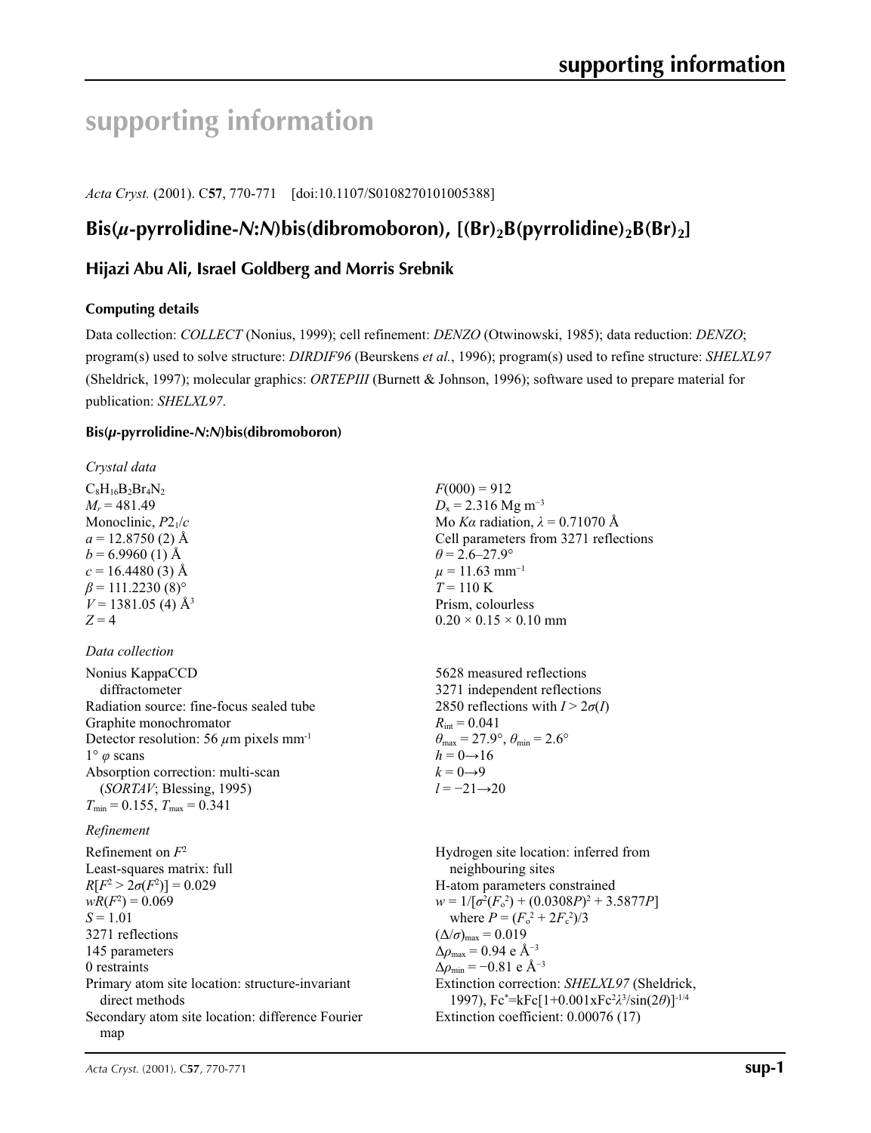# **supporting information**

*Acta Cryst.* (2001). C**57**, 770-771 [doi:10.1107/S0108270101005388]

# $\text{Bis}(\mu\text{-pyrrolidine-N:}N)\text{bis}(\text{dibromoboron})$ ,  $[(\text{Br})_2\text{B(pyrrolidine)}_2\text{B}(\text{Br})_2]$

# **Hijazi Abu Ali, Israel Goldberg and Morris Srebnik**

# **Computing details**

Data collection: *COLLECT* (Nonius, 1999); cell refinement: *DENZO* (Otwinowski, 1985); data reduction: *DENZO*; program(s) used to solve structure: *DIRDIF96* (Beurskens *et al.*, 1996); program(s) used to refine structure: *SHELXL97* (Sheldrick, 1997); molecular graphics: *ORTEPIII* (Burnett & Johnson, 1996); software used to prepare material for publication: *SHELXL97*.

# **Bis(***µ***-pyrrolidine-***N***:***N***)bis(dibromoboron)**

*Crystal data*  $C_8H_{16}B_2Br_4N_2$  $M_r = 481.49$ Monoclinic, *P*21/*c*  $a = 12.8750(2)$  Å  $b = 6.9960$  (1) Å  $c = 16.4480(3)$  Å  $\beta$  = 111.2230 (8)<sup>o</sup>  $V = 1381.05$  (4)  $\AA$ <sup>3</sup>  $Z = 4$ 

# *Data collection*

| Nonius KappaCCD                                         |  |
|---------------------------------------------------------|--|
| diffractometer                                          |  |
| Radiation source: fine-focus sealed tube                |  |
| Graphite monochromator                                  |  |
| Detector resolution: 56 $\mu$ m pixels mm <sup>-1</sup> |  |
| $1^{\circ}$ $\varphi$ scans                             |  |
| Absorption correction: multi-scan                       |  |
| (SORTAV; Blessing, 1995)                                |  |
| $T_{\min} = 0.155$ , $T_{\max} = 0.341$                 |  |

# *Refinement*

Refinement on *F*<sup>2</sup> Least-squares matrix: full  $R[F^2 > 2\sigma(F^2)] = 0.029$  $wR(F^2) = 0.069$  $S = 1.01$ 3271 reflections 145 parameters 0 restraints Primary atom site location: structure-invariant direct methods Secondary atom site location: difference Fourier map

 $F(000) = 912$  $D_x = 2.316$  Mg m<sup>-3</sup> Mo *Kα* radiation, *λ* = 0.71070 Å Cell parameters from 3271 reflections  $\theta$  = 2.6–27.9°  $\mu = 11.63$  mm<sup>-1</sup> *T* = 110 K Prism, colourless  $0.20 \times 0.15 \times 0.10$  mm

5628 measured reflections 3271 independent reflections 2850 reflections with  $I > 2\sigma(I)$  $R_{\text{int}} = 0.041$  $\theta_{\text{max}} = 27.9^{\circ}, \theta_{\text{min}} = 2.6^{\circ}$  $h = 0 \rightarrow 16$  $k = 0 \rightarrow 9$ *l* = −21→20

Hydrogen site location: inferred from neighbouring sites H-atom parameters constrained  $w = 1/[\sigma^2(F_0^2) + (0.0308P)^2 + 3.5877P]$ where  $P = (F_o^2 + 2F_c^2)/3$  $(\Delta/\sigma)_{\text{max}} = 0.019$  $\Delta\rho_{\text{max}} = 0.94$  e Å<sup>-3</sup>  $\Delta \rho_{\text{min}} = -0.81$  e Å<sup>-3</sup> Extinction correction: *SHELXL97* (Sheldrick, 1997), Fc\* =kFc[1+0.001xFc2 *λ*3 /sin(2*θ*)]-1/4 Extinction coefficient: 0.00076 (17)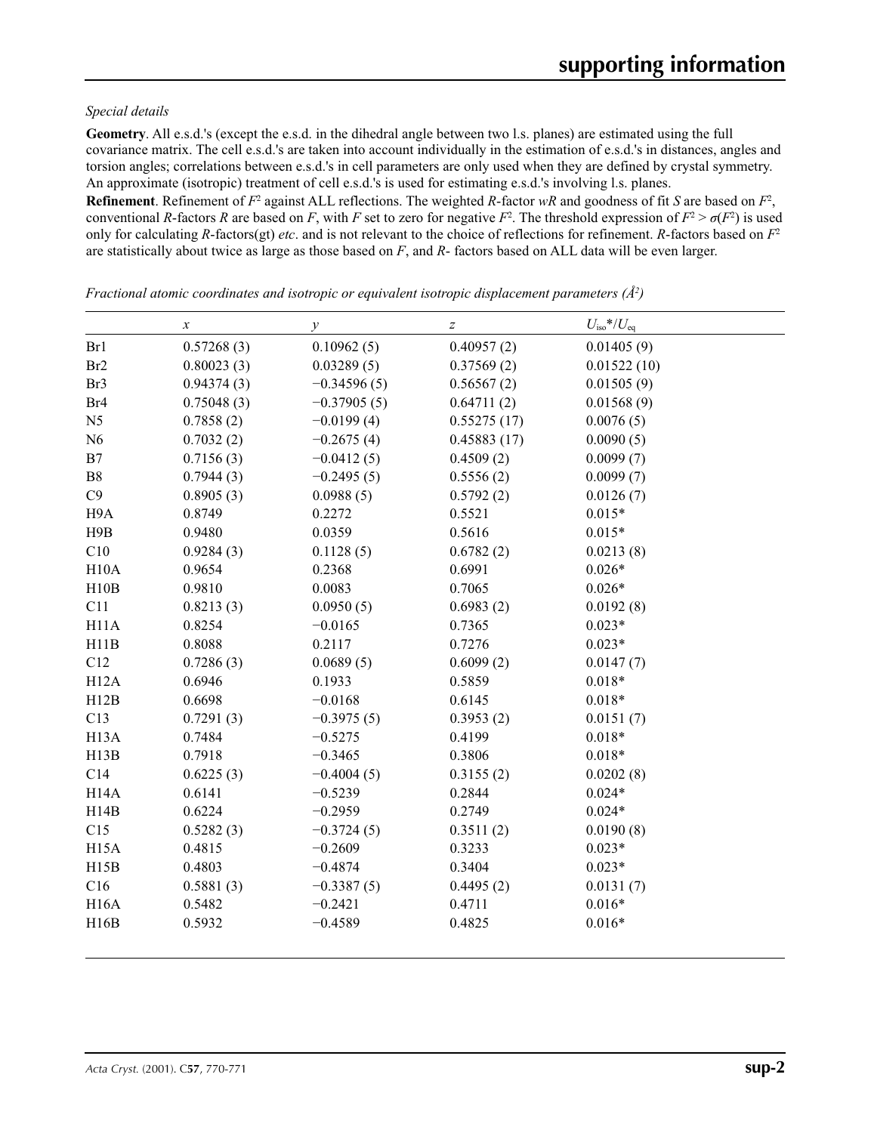## *Special details*

**Geometry**. All e.s.d.'s (except the e.s.d. in the dihedral angle between two l.s. planes) are estimated using the full covariance matrix. The cell e.s.d.'s are taken into account individually in the estimation of e.s.d.'s in distances, angles and torsion angles; correlations between e.s.d.'s in cell parameters are only used when they are defined by crystal symmetry. An approximate (isotropic) treatment of cell e.s.d.'s is used for estimating e.s.d.'s involving l.s. planes.

**Refinement**. Refinement of  $F^2$  against ALL reflections. The weighted R-factor wR and goodness of fit *S* are based on  $F^2$ , conventional *R*-factors *R* are based on *F*, with *F* set to zero for negative  $F^2$ . The threshold expression of  $F^2 > \sigma(F^2)$  is used only for calculating *R*-factors(gt) *etc*. and is not relevant to the choice of reflections for refinement. *R*-factors based on *F*<sup>2</sup> are statistically about twice as large as those based on *F*, and *R*- factors based on ALL data will be even larger.

|                   | $\boldsymbol{x}$ | $\mathcal{Y}$ | $\boldsymbol{Z}$ | $U_{\rm iso} * / U_{\rm eq}$ |
|-------------------|------------------|---------------|------------------|------------------------------|
| Br1               | 0.57268(3)       | 0.10962(5)    | 0.40957(2)       | 0.01405(9)                   |
| Br <sub>2</sub>   | 0.80023(3)       | 0.03289(5)    | 0.37569(2)       | 0.01522(10)                  |
| Br3               | 0.94374(3)       | $-0.34596(5)$ | 0.56567(2)       | 0.01505(9)                   |
| Br <sub>4</sub>   | 0.75048(3)       | $-0.37905(5)$ | 0.64711(2)       | 0.01568(9)                   |
| N <sub>5</sub>    | 0.7858(2)        | $-0.0199(4)$  | 0.55275(17)      | 0.0076(5)                    |
| N6                | 0.7032(2)        | $-0.2675(4)$  | 0.45883(17)      | 0.0090(5)                    |
| B7                | 0.7156(3)        | $-0.0412(5)$  | 0.4509(2)        | 0.0099(7)                    |
| B8                | 0.7944(3)        | $-0.2495(5)$  | 0.5556(2)        | 0.0099(7)                    |
| C9                | 0.8905(3)        | 0.0988(5)     | 0.5792(2)        | 0.0126(7)                    |
| H9A               | 0.8749           | 0.2272        | 0.5521           | $0.015*$                     |
| H9B               | 0.9480           | 0.0359        | 0.5616           | $0.015*$                     |
| C10               | 0.9284(3)        | 0.1128(5)     | 0.6782(2)        | 0.0213(8)                    |
| H10A              | 0.9654           | 0.2368        | 0.6991           | $0.026*$                     |
| H10B              | 0.9810           | 0.0083        | 0.7065           | $0.026*$                     |
| C11               | 0.8213(3)        | 0.0950(5)     | 0.6983(2)        | 0.0192(8)                    |
| H11A              | 0.8254           | $-0.0165$     | 0.7365           | $0.023*$                     |
| H11B              | 0.8088           | 0.2117        | 0.7276           | $0.023*$                     |
| C12               | 0.7286(3)        | 0.0689(5)     | 0.6099(2)        | 0.0147(7)                    |
| H12A              | 0.6946           | 0.1933        | 0.5859           | $0.018*$                     |
| H12B              | 0.6698           | $-0.0168$     | 0.6145           | $0.018*$                     |
| C13               | 0.7291(3)        | $-0.3975(5)$  | 0.3953(2)        | 0.0151(7)                    |
| H <sub>13</sub> A | 0.7484           | $-0.5275$     | 0.4199           | $0.018*$                     |
| H13B              | 0.7918           | $-0.3465$     | 0.3806           | $0.018*$                     |
| C14               | 0.6225(3)        | $-0.4004(5)$  | 0.3155(2)        | 0.0202(8)                    |
| H <sub>14</sub> A | 0.6141           | $-0.5239$     | 0.2844           | $0.024*$                     |
| H14B              | 0.6224           | $-0.2959$     | 0.2749           | $0.024*$                     |
| C15               | 0.5282(3)        | $-0.3724(5)$  | 0.3511(2)        | 0.0190(8)                    |
| H <sub>15</sub> A | 0.4815           | $-0.2609$     | 0.3233           | $0.023*$                     |
| H15B              | 0.4803           | $-0.4874$     | 0.3404           | $0.023*$                     |
| C16               | 0.5881(3)        | $-0.3387(5)$  | 0.4495(2)        | 0.0131(7)                    |
| <b>H16A</b>       | 0.5482           | $-0.2421$     | 0.4711           | $0.016*$                     |
| H16B              | 0.5932           | $-0.4589$     | 0.4825           | $0.016*$                     |

*Fractional atomic coordinates and isotropic or equivalent isotropic displacement parameters (Å2 )*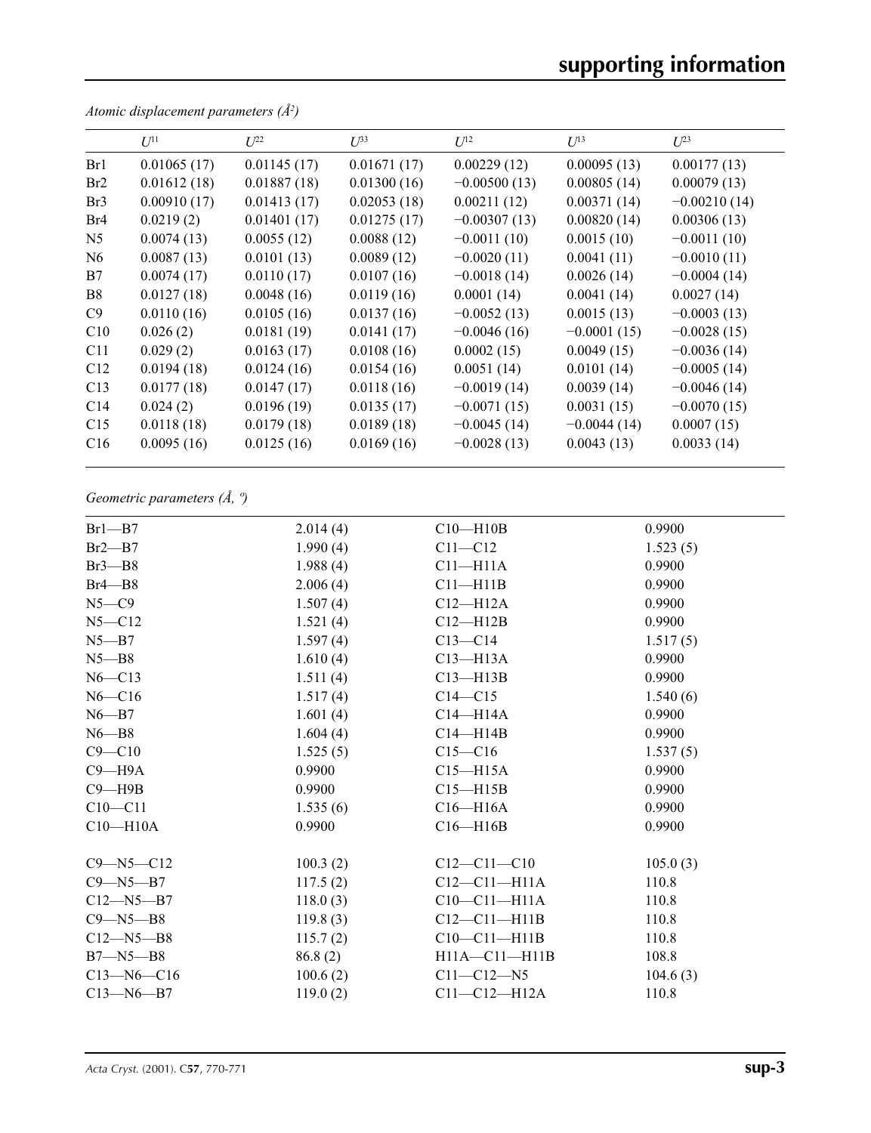|                 | $U^{11}$    | $U^{22}$    | $U^{33}$    | $U^{12}$       | $U^{13}$      | $U^{23}$       |
|-----------------|-------------|-------------|-------------|----------------|---------------|----------------|
| Br1             | 0.01065(17) | 0.01145(17) | 0.01671(17) | 0.00229(12)    | 0.00095(13)   | 0.00177(13)    |
| Br2             | 0.01612(18) | 0.01887(18) | 0.01300(16) | $-0.00500(13)$ | 0.00805(14)   | 0.00079(13)    |
| Br <sub>3</sub> | 0.00910(17) | 0.01413(17) | 0.02053(18) | 0.00211(12)    | 0.00371(14)   | $-0.00210(14)$ |
| Br <sub>4</sub> | 0.0219(2)   | 0.01401(17) | 0.01275(17) | $-0.00307(13)$ | 0.00820(14)   | 0.00306(13)    |
| N <sub>5</sub>  | 0.0074(13)  | 0.0055(12)  | 0.0088(12)  | $-0.0011(10)$  | 0.0015(10)    | $-0.0011(10)$  |
| N <sub>6</sub>  | 0.0087(13)  | 0.0101(13)  | 0.0089(12)  | $-0.0020(11)$  | 0.0041(11)    | $-0.0010(11)$  |
| B7              | 0.0074(17)  | 0.0110(17)  | 0.0107(16)  | $-0.0018(14)$  | 0.0026(14)    | $-0.0004(14)$  |
| B8              | 0.0127(18)  | 0.0048(16)  | 0.0119(16)  | 0.0001(14)     | 0.0041(14)    | 0.0027(14)     |
| C9              | 0.0110(16)  | 0.0105(16)  | 0.0137(16)  | $-0.0052(13)$  | 0.0015(13)    | $-0.0003(13)$  |
| C10             | 0.026(2)    | 0.0181(19)  | 0.0141(17)  | $-0.0046(16)$  | $-0.0001(15)$ | $-0.0028(15)$  |
| C11             | 0.029(2)    | 0.0163(17)  | 0.0108(16)  | 0.0002(15)     | 0.0049(15)    | $-0.0036(14)$  |
| C12             | 0.0194(18)  | 0.0124(16)  | 0.0154(16)  | 0.0051(14)     | 0.0101(14)    | $-0.0005(14)$  |
| C13             | 0.0177(18)  | 0.0147(17)  | 0.0118(16)  | $-0.0019(14)$  | 0.0039(14)    | $-0.0046(14)$  |
| C14             | 0.024(2)    | 0.0196(19)  | 0.0135(17)  | $-0.0071(15)$  | 0.0031(15)    | $-0.0070(15)$  |
| C15             | 0.0118(18)  | 0.0179(18)  | 0.0189(18)  | $-0.0045(14)$  | $-0.0044(14)$ | 0.0007(15)     |
| C16             | 0.0095(16)  | 0.0125(16)  | 0.0169(16)  | $-0.0028(13)$  | 0.0043(13)    | 0.0033(14)     |

*Atomic displacement parameters (Å2 )*

*Geometric parameters (Å, º)*

| 2.014(4) | $C10 - H10B$                                             | 0.9900                                  |
|----------|----------------------------------------------------------|-----------------------------------------|
| 1.990(4) | $C11 - C12$                                              | 1.523(5)                                |
| 1.988(4) | $C11 - H11A$                                             | 0.9900                                  |
| 2.006(4) | $C11 - H11B$                                             | 0.9900                                  |
| 1.507(4) | $C12 - H12A$                                             | 0.9900                                  |
| 1.521(4) | $C12 - H12B$                                             | 0.9900                                  |
| 1.597(4) | $C13 - C14$                                              | 1.517(5)                                |
| 1.610(4) | $C13 - H13A$                                             | 0.9900                                  |
| 1.511(4) | $C13 - H13B$                                             | 0.9900                                  |
| 1.517(4) | $C14 - C15$                                              | 1.540(6)                                |
| 1.601(4) | $C14 - H14A$                                             | 0.9900                                  |
| 1.604(4) | $C14 - H14B$                                             | 0.9900                                  |
| 1.525(5) | $C15 - C16$                                              | 1.537(5)                                |
| 0.9900   | $C15 - H15A$                                             | 0.9900                                  |
| 0.9900   | $C15 - H15B$                                             | 0.9900                                  |
| 1.535(6) | $C16 - H16A$                                             | 0.9900                                  |
| 0.9900   | $C16 - H16B$                                             | 0.9900                                  |
|          |                                                          | 105.0(3)                                |
|          |                                                          | 110.8                                   |
|          | $C10-C11-H11A$                                           | 110.8                                   |
|          | $C12-C11-H11B$                                           | 110.8                                   |
|          | $C10-C11-H11B$                                           | 110.8                                   |
| 86.8 (2) | $H11A - C11 - H11B$                                      | 108.8                                   |
| 100.6(2) | $C11 - C12 - N5$                                         | 104.6(3)                                |
| 119.0(2) | $C11 - C12 - H12A$                                       | 110.8                                   |
|          | 100.3(2)<br>117.5(2)<br>118.0(3)<br>119.8(3)<br>115.7(2) | $C12 - C11 - C10$<br>$C12 - C11 - H11A$ |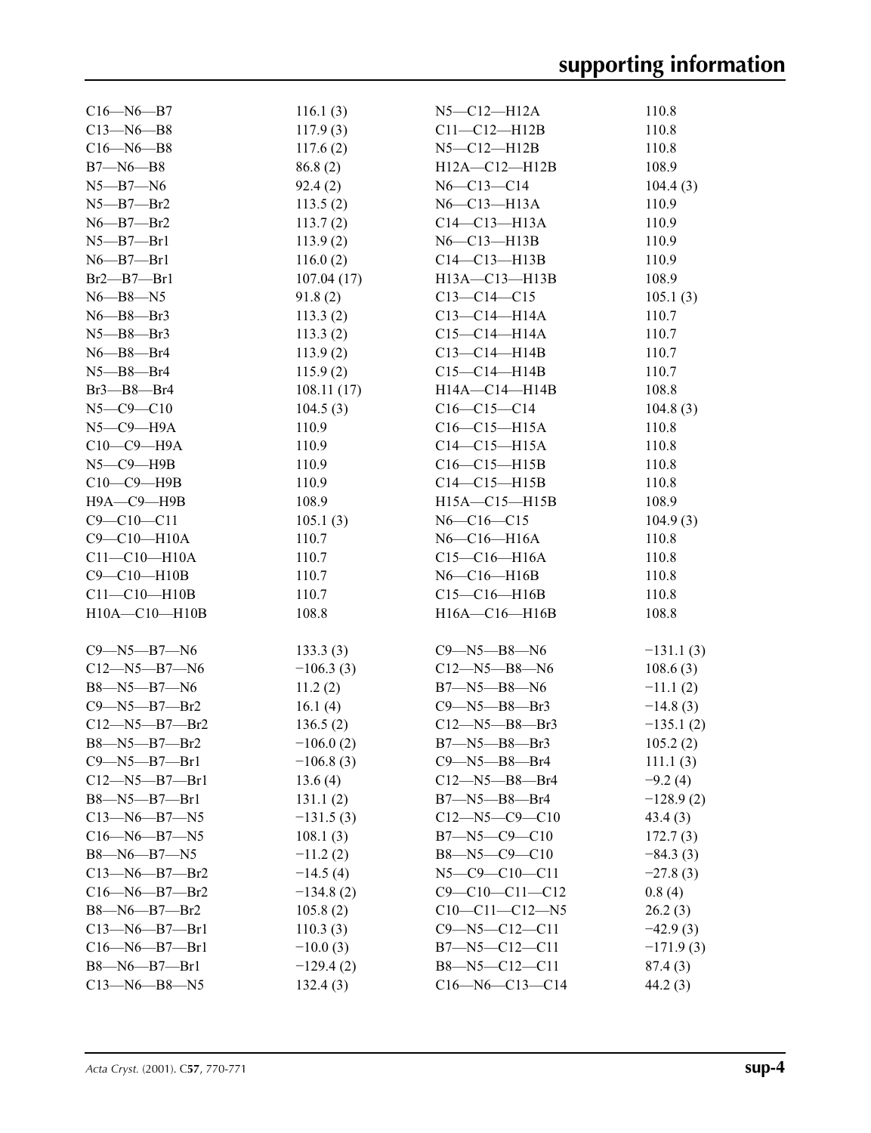| $C16 - N6 - B7$       | 116.1(3)    | $N5$ — $C12$ — $H12A$       | 110.8       |
|-----------------------|-------------|-----------------------------|-------------|
| $C13 - N6 - B8$       | 117.9(3)    | C11-C12-H12B                | 110.8       |
| $C16 - N6 - B8$       | 117.6(2)    | N5-C12-H12B                 | 110.8       |
| $B7 - N6 - B8$        | 86.8 (2)    | H12A-C12-H12B               | 108.9       |
| $N5 - B7 - N6$        | 92.4(2)     | $N6 - C13 - C14$            | 104.4(3)    |
| $N5 - B7 - Br2$       | 113.5(2)    | $N6$ — $C13$ — $H13A$       | 110.9       |
| $N6$ — $B7$ — $Br2$   | 113.7(2)    | $C14 - C13 - H13A$          | 110.9       |
| $N5 - B7 - Br1$       | 113.9(2)    | N6-C13-H13B                 | 110.9       |
| $N6 - B7 - Br1$       | 116.0(2)    | $C14 - C13 - H13B$          | 110.9       |
| $Br2$ — $Br1$         | 107.04(17)  | $H13A - C13 - H13B$         | 108.9       |
| $N6 - B8 - N5$        | 91.8(2)     | $C13 - C14 - C15$           | 105.1(3)    |
| $N6 - B8 - Br3$       | 113.3(2)    | C13-C14-H14A                | 110.7       |
| $N5 - B8 - Br3$       | 113.3(2)    | $C15 - C14 - H14A$          | 110.7       |
| $N6$ — $B8$ — $Br4$   | 113.9(2)    | $C13 - C14 - H14B$          | 110.7       |
| $N5 - B8 - Br4$       | 115.9(2)    | $C15 - C14 - H14B$          | 110.7       |
| $Br3$ — $B8$ — $Br4$  | 108.11(17)  | H14A-C14-H14B               | 108.8       |
| $N5 - C9 - C10$       | 104.5(3)    | $C16 - C15 - C14$           | 104.8(3)    |
| $N5$ — $C9$ — $H9A$   | 110.9       | $C16 - C15 - H15A$          | 110.8       |
| $C10-C9-H9A$          | 110.9       | C14-C15-H15A                | 110.8       |
| $N5 - C9 - H9B$       | 110.9       | $C16-C15-H15B$              | 110.8       |
| $C10-C9-H9B$          | 110.9       | $C14 - C15 - H15B$          | 110.8       |
|                       |             | $H15A - C15 - H15B$         |             |
| Н9А-С9-Н9В            | 108.9       |                             | 108.9       |
| $C9 - C10 - C11$      | 105.1(3)    | $N6 - C16 - C15$            | 104.9(3)    |
| C9-C10-H10A           | 110.7       | $N6$ — $C16$ — $H16A$       | 110.8       |
| $C11 - C10 - H10A$    | 110.7       | C15-C16-H16A                | 110.8       |
| $C9 - C10 - H10B$     | 110.7       | N6-C16-H16B                 | 110.8       |
| $C11-C10-H10B$        | 110.7       | $C15 - C16 - H16B$          | 110.8       |
| $H10A - C10 - H10B$   | 108.8       | $H16A - C16 - H16B$         | 108.8       |
| $C9 - N5 - B7 - N6$   | 133.3(3)    | C9—N5—B8—N6                 | $-131.1(3)$ |
| $C12 - N5 - B7 - N6$  | $-106.3(3)$ |                             |             |
| B8—N5—B7—N6           |             | C12—N5—B8—N6<br>B7—N5—B8—N6 | 108.6(3)    |
| $C9 - N5 - B7 - Br2$  | 11.2(2)     | $C9 - N5 - B8 - Br3$        | $-11.1(2)$  |
|                       | 16.1 $(4)$  |                             | $-14.8(3)$  |
| $C12 - N5 - B7 - Br2$ | 136.5(2)    | $C12 - N5 - B8 - Br3$       | $-135.1(2)$ |
| B8-N5-B7-Br2          | $-106.0(2)$ | B7-N5-B8-Br3                | 105.2(2)    |
| $C9 - N5 - B7 - Br1$  | $-106.8(3)$ | $C9 - N5 - B8 - Br4$        | 111.1(3)    |
| $C12 - N5 - B7 - Br1$ | 13.6(4)     | $C12 - N5 - B8 - Br4$       | $-9.2(4)$   |
| $B8 - N5 - B7 - Br1$  | 131.1(2)    | $B7 - N5 - B8 - Br4$        | $-128.9(2)$ |
| $C13 - N6 - B7 - N5$  | $-131.5(3)$ | $C12 - N5 - C9 - C10$       | 43.4(3)     |
| $C16 - N6 - B7 - N5$  | 108.1(3)    | $B7 - N5 - C9 - C10$        | 172.7(3)    |
| $B8 - N6 - B7 - N5$   | $-11.2(2)$  | $B8 - N5 - C9 - C10$        | $-84.3(3)$  |
| $C13 - N6 - B7 - Br2$ | $-14.5(4)$  | $N5 - C9 - C10 - C11$       | $-27.8(3)$  |
| $C16 - N6 - B7 - Br2$ | $-134.8(2)$ | $C9 - C10 - C11 - C12$      | 0.8(4)      |
| $B8 - N6 - B7 - Br2$  | 105.8(2)    | $C10-C11-C12-N5$            | 26.2(3)     |
| $C13 - N6 - B7 - Br1$ | 110.3(3)    | $C9 - N5 - C12 - C11$       | $-42.9(3)$  |
| $C16 - N6 - B7 - Br1$ | $-10.0(3)$  | $B7 - N5 - C12 - C11$       | $-171.9(3)$ |
| $B8 - N6 - B7 - Br1$  | $-129.4(2)$ | B8-N5-C12-C11               | 87.4(3)     |
| $C13 - N6 - B8 - N5$  | 132.4(3)    | $C16 - N6 - C13 - C14$      | 44.2(3)     |